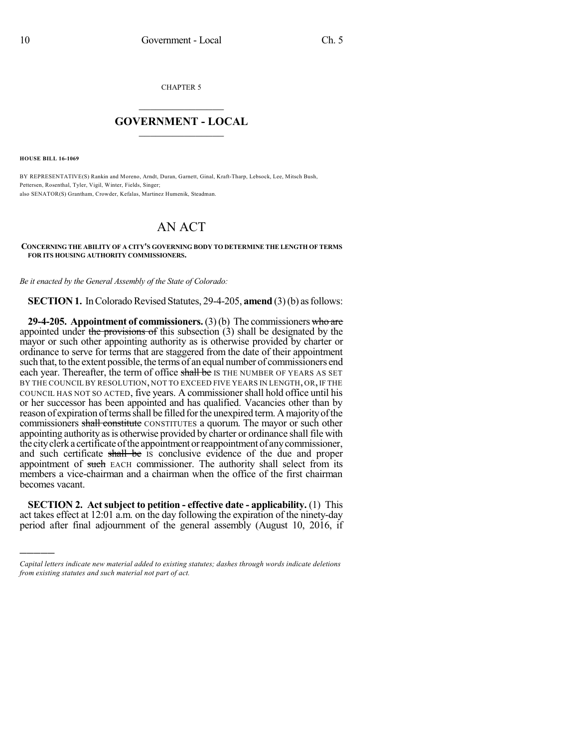CHAPTER 5

## $\mathcal{L}_\text{max}$  . The set of the set of the set of the set of the set of the set of the set of the set of the set of the set of the set of the set of the set of the set of the set of the set of the set of the set of the set **GOVERNMENT - LOCAL**  $\_$

**HOUSE BILL 16-1069**

)))))

BY REPRESENTATIVE(S) Rankin and Moreno, Arndt, Duran, Garnett, Ginal, Kraft-Tharp, Lebsock, Lee, Mitsch Bush, Pettersen, Rosenthal, Tyler, Vigil, Winter, Fields, Singer; also SENATOR(S) Grantham, Crowder, Kefalas, Martinez Humenik, Steadman.

## AN ACT

**CONCERNING THE ABILITY OF A CITY'S GOVERNING BODY TO DETERMINE THE LENGTH OF TERMS FOR ITS HOUSING AUTHORITY COMMISSIONERS.**

*Be it enacted by the General Assembly of the State of Colorado:*

**SECTION 1.** In Colorado Revised Statutes, 29-4-205, **amend** (3)(b) as follows:

**29-4-205. Appointment of commissioners.**(3)(b) The commissioners who are appointed under the provisions of this subsection  $(3)$  shall be designated by the mayor or such other appointing authority as is otherwise provided by charter or ordinance to serve for terms that are staggered from the date of their appointment such that, to the extent possible, the terms of an equal number of commissioners end each year. Thereafter, the term of office shall be IS THE NUMBER OF YEARS AS SET BY THE COUNCIL BY RESOLUTION, NOT TO EXCEED FIVE YEARS IN LENGTH, OR, IF THE COUNCIL HAS NOT SO ACTED, five years. A commissionershall hold office until his or her successor has been appointed and has qualified. Vacancies other than by reason of expiration of terms shall be filled for the unexpired term. A majority of the commissioners shall constitute CONSTITUTES a quorum. The mayor or such other appointing authority as is otherwise provided by charter or ordinance shall file with the city clerk a certificate of the appointment or reappointment of any commissioner, and such certificate shall be is conclusive evidence of the due and proper appointment of such EACH commissioner. The authority shall select from its members a vice-chairman and a chairman when the office of the first chairman becomes vacant.

**SECTION 2. Act subject to petition - effective date - applicability.** (1) This act takes effect at 12:01 a.m. on the day following the expiration of the ninety-day period after final adjournment of the general assembly (August 10, 2016, if

*Capital letters indicate new material added to existing statutes; dashes through words indicate deletions from existing statutes and such material not part of act.*